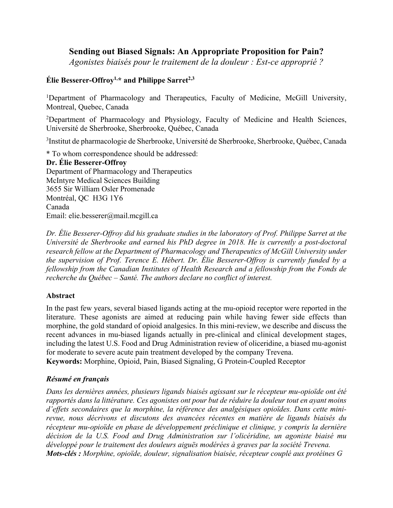# **Sending out Biased Signals: An Appropriate Proposition for Pain?**

*Agonistes biaisés pour le traitement de la douleur : Est-ce approprié ?*

## **Élie Besserer-Offroy1,\* and Philippe Sarret2,3**

<sup>1</sup>Department of Pharmacology and Therapeutics, Faculty of Medicine, McGill University, Montreal, Quebec, Canada

<sup>2</sup>Department of Pharmacology and Physiology, Faculty of Medicine and Health Sciences, Université de Sherbrooke, Sherbrooke, Québec, Canada

<sup>3</sup>Institut de pharmacologie de Sherbrooke, Université de Sherbrooke, Sherbrooke, Québec, Canada

\* To whom correspondence should be addressed:

**Dr. Élie Besserer-Offroy** Department of Pharmacology and Therapeutics McIntyre Medical Sciences Building 3655 Sir William Osler Promenade Montréal, QC H3G 1Y6 Canada Email: elie.besserer@mail.mcgill.ca

*Dr. Élie Besserer-Offroy did his graduate studies in the laboratory of Prof. Philippe Sarret at the Université de Sherbrooke and earned his PhD degree in 2018. He is currently a post-doctoral research fellow at the Department of Pharmacology and Therapeutics of McGill University under the supervision of Prof. Terence E. Hébert. Dr. Élie Besserer-Offroy is currently funded by a fellowship from the Canadian Institutes of Health Research and a fellowship from the Fonds de recherche du Québec – Santé. The authors declare no conflict of interest.*

### **Abstract**

In the past few years, several biased ligands acting at the mu-opioid receptor were reported in the literature. These agonists are aimed at reducing pain while having fewer side effects than morphine, the gold standard of opioid analgesics. In this mini-review, we describe and discuss the recent advances in mu-biased ligands actually in pre-clinical and clinical development stages, including the latest U.S. Food and Drug Administration review of oliceridine, a biased mu-agonist for moderate to severe acute pain treatment developed by the company Trevena. **Keywords:** Morphine, Opioid, Pain, Biased Signaling, G Protein-Coupled Receptor

### *Résumé en français*

*Dans les dernières années, plusieurs ligands biaisés agissant sur le récepteur mu-opioïde ont été rapportés dans la littérature. Ces agonistes ont pour but de réduire la douleur tout en ayant moins d'effets secondaires que la morphine, la référence des analgésiques opioïdes. Dans cette minirevue, nous décrivons et discutons des avancées récentes en matière de ligands biaisés du récepteur mu-opioïde en phase de développement préclinique et clinique, y compris la dernière décision de la U.S. Food and Drug Administration sur l'olicéridine, un agoniste biaisé mu développé pour le traitement des douleurs aiguës modérées à graves par la société Trevena. Mots-clés : Morphine, opioïde, douleur, signalisation biaisée, récepteur couplé aux protéines G*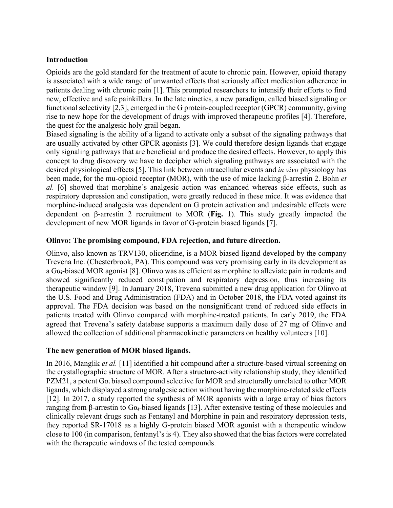### **Introduction**

Opioids are the gold standard for the treatment of acute to chronic pain. However, opioid therapy is associated with a wide range of unwanted effects that seriously affect medication adherence in patients dealing with chronic pain [1]. This prompted researchers to intensify their efforts to find new, effective and safe painkillers. In the late nineties, a new paradigm, called biased signaling or functional selectivity [2,3], emerged in the G protein-coupled receptor (GPCR) community, giving rise to new hope for the development of drugs with improved therapeutic profiles [4]. Therefore, the quest for the analgesic holy grail began.

Biased signaling is the ability of a ligand to activate only a subset of the signaling pathways that are usually activated by other GPCR agonists [3]. We could therefore design ligands that engage only signaling pathways that are beneficial and produce the desired effects. However, to apply this concept to drug discovery we have to decipher which signaling pathways are associated with the desired physiological effects [5]. This link between intracellular events and *in vivo* physiology has been made, for the mu-opioid receptor (MOR), with the use of mice lacking β-arrestin 2. Bohn *et al.* [6] showed that morphine's analgesic action was enhanced whereas side effects, such as respiratory depression and constipation, were greatly reduced in these mice. It was evidence that morphine-induced analgesia was dependent on G protein activation and undesirable effects were dependent on β-arrestin 2 recruitment to MOR (**Fig. 1**). This study greatly impacted the development of new MOR ligands in favor of G-protein biased ligands [7].

### **Olinvo: The promising compound, FDA rejection, and future direction.**

Olinvo, also known as TRV130, oliceridine, is a MOR biased ligand developed by the company Trevena Inc. (Chesterbrook, PA). This compound was very promising early in its development as a  $Ga<sub>i</sub>$ -biased MOR agonist [8]. Olinvo was as efficient as morphine to alleviate pain in rodents and showed significantly reduced constipation and respiratory depression, thus increasing its therapeutic window [9]. In January 2018, Trevena submitted a new drug application for Olinvo at the U.S. Food and Drug Administration (FDA) and in October 2018, the FDA voted against its approval. The FDA decision was based on the nonsignificant trend of reduced side effects in patients treated with Olinvo compared with morphine-treated patients. In early 2019, the FDA agreed that Trevena's safety database supports a maximum daily dose of 27 mg of Olinvo and allowed the collection of additional pharmacokinetic parameters on healthy volunteers [10].

### **The new generation of MOR biased ligands.**

In 2016, Manglik *et al.* [11] identified a hit compound after a structure-based virtual screening on the crystallographic structure of MOR. After a structure-activity relationship study, they identified PZM21, a potent  $Ga_i$  biased compound selective for MOR and structurally unrelated to other MOR ligands, which displayed a strong analgesic action without having the morphine-related side effects [12]. In 2017, a study reported the synthesis of MOR agonists with a large array of bias factors ranging from β-arrestin to Gα<sub>i</sub>-biased ligands [13]. After extensive testing of these molecules and clinically relevant drugs such as Fentanyl and Morphine in pain and respiratory depression tests, they reported SR-17018 as a highly G-protein biased MOR agonist with a therapeutic window close to 100 (in comparison, fentanyl's is 4). They also showed that the bias factors were correlated with the therapeutic windows of the tested compounds.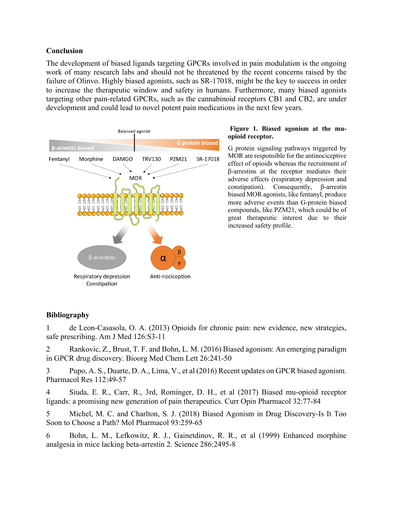#### **Conclusion**

The development of biased ligands targeting GPCRs involved in pain modulation is the ongoing work of many research labs and should not be threatened by the recent concerns raised by the failure of Olinvo. Highly biased agonists, such as SR-17018, might be the key to success in order to increase the therapeutic window and safety in humans. Furthermore, many biased agonists targeting other pain-related GPCRs, such as the cannabinoid receptors CB1 and CB2, are under development and could lead to novel potent pain medications in the next few years.



#### **Figure 1. Biased agonism at the muopioid receptor.**

G protein signaling pathways triggered by MOR are responsible for the antinociceptive effect of opioids whereas the recruitment of β-arrestins at the receptor mediates their adverse effects (respiratory depression and constipation). Consequently, β-arrestin biased MOR agonists, like fentanyl, produce more adverse events than G-protein biased compounds, like PZM21, which could be of great therapeutic interest due to their increased safety profile.

### **Bibliography**

1 de Leon-Casasola, O. A. (2013) Opioids for chronic pain: new evidence, new strategies, safe prescribing. Am J Med 126:S3-11

2 Rankovic, Z., Brust, T. F. and Bohn, L. M. (2016) Biased agonism: An emerging paradigm in GPCR drug discovery. Bioorg Med Chem Lett 26:241-50

3 Pupo, A. S., Duarte, D. A., Lima, V., et al (2016) Recent updates on GPCR biased agonism. Pharmacol Res 112:49-57

4 Siuda, E. R., Carr, R., 3rd, Rominger, D. H., et al (2017) Biased mu-opioid receptor ligands: a promising new generation of pain therapeutics. Curr Opin Pharmacol 32:77-84

5 Michel, M. C. and Charlton, S. J. (2018) Biased Agonism in Drug Discovery-Is It Too Soon to Choose a Path? Mol Pharmacol 93:259-65

6 Bohn, L. M., Lefkowitz, R. J., Gainetdinov, R. R., et al (1999) Enhanced morphine analgesia in mice lacking beta-arrestin 2. Science 286:2495-8